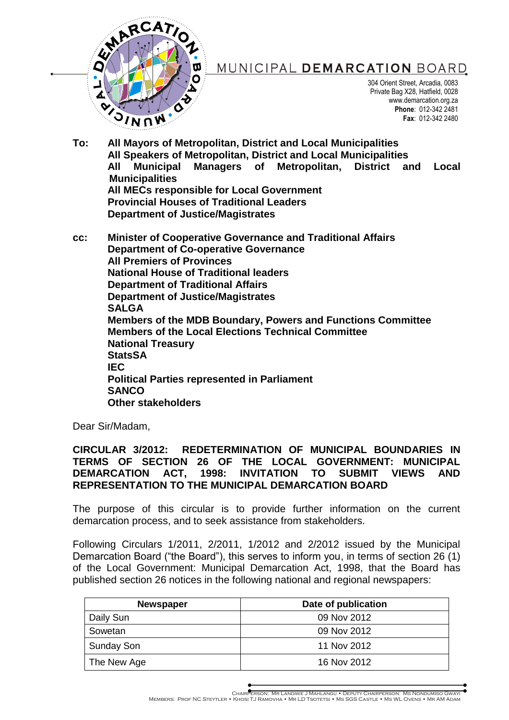

# MUNICIPAL DEMARCATION BOARD

304 Orient Street, Arcadia, 0083 Private Bag X28, Hatfield, 0028 www.demarcation.org.za **Phone**: 012-342 2481 **Fax**: 012-342 2480

**To: All Mayors of Metropolitan, District and Local Municipalities All Speakers of Metropolitan, District and Local Municipalities All Municipal Managers of Metropolitan, District and Local Municipalities All MECs responsible for Local Government Provincial Houses of Traditional Leaders Department of Justice/Magistrates**

**cc: Minister of Cooperative Governance and Traditional Affairs Department of Co-operative Governance All Premiers of Provinces National House of Traditional leaders Department of Traditional Affairs Department of Justice/Magistrates SALGA Members of the MDB Boundary, Powers and Functions Committee Members of the Local Elections Technical Committee National Treasury StatsSA IEC Political Parties represented in Parliament SANCO Other stakeholders**

Dear Sir/Madam,

### **CIRCULAR 3/2012: REDETERMINATION OF MUNICIPAL BOUNDARIES IN TERMS OF SECTION 26 OF THE LOCAL GOVERNMENT: MUNICIPAL DEMARCATION ACT, 1998: INVITATION TO SUBMIT VIEWS AND REPRESENTATION TO THE MUNICIPAL DEMARCATION BOARD**

The purpose of this circular is to provide further information on the current demarcation process, and to seek assistance from stakeholders.

Following Circulars 1/2011, 2/2011, 1/2012 and 2/2012 issued by the Municipal Demarcation Board ("the Board"), this serves to inform you, in terms of section 26 (1) of the Local Government: Municipal Demarcation Act, 1998, that the Board has published section 26 notices in the following national and regional newspapers:

| <b>Newspaper</b>  | Date of publication |
|-------------------|---------------------|
| Daily Sun         | 09 Nov 2012         |
| Sowetan           | 09 Nov 2012         |
| <b>Sunday Son</b> | 11 Nov 2012         |
| The New Age       | 16 Nov 2012         |

CHAIRPERSON: MR LANDIWE J MAHLANGU • DEPUTY CHAIRPERSON: MS NONDUMISO GWAYI<br>MEMBERS: PROF NC STEYTLER • KHOSI TJ RAMOVHA • MR LD TSOTETSI • MS SGS CASTLE • MS WL OVENS • MR AM ADAM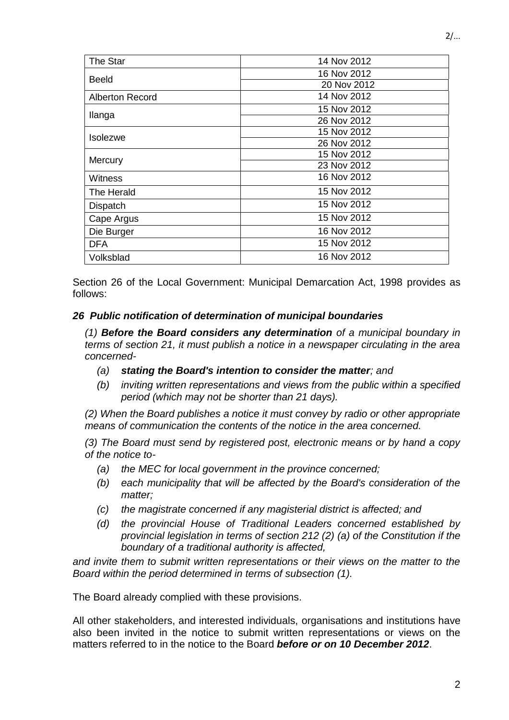| The Star               | 14 Nov 2012 |
|------------------------|-------------|
|                        | 16 Nov 2012 |
| <b>Beeld</b>           | 20 Nov 2012 |
| <b>Alberton Record</b> | 14 Nov 2012 |
|                        | 15 Nov 2012 |
| Ilanga                 | 26 Nov 2012 |
| Isolezwe               | 15 Nov 2012 |
|                        | 26 Nov 2012 |
| Mercury                | 15 Nov 2012 |
|                        | 23 Nov 2012 |
| <b>Witness</b>         | 16 Nov 2012 |
| The Herald             | 15 Nov 2012 |
| Dispatch               | 15 Nov 2012 |
| Cape Argus             | 15 Nov 2012 |
| Die Burger             | 16 Nov 2012 |
| DFA                    | 15 Nov 2012 |
| Volksblad              | 16 Nov 2012 |

Section 26 of the Local Government: Municipal Demarcation Act, 1998 provides as follows:

### *26 Public notification of determination of municipal boundaries*

*(1) Before the Board considers any determination of a municipal boundary in terms of section 21, it must publish a notice in a newspaper circulating in the area concerned-*

- *(a) stating the Board's intention to consider the matter; and*
- *(b) inviting written representations and views from the public within a specified period (which may not be shorter than 21 days).*

*(2) When the Board publishes a notice it must convey by radio or other appropriate means of communication the contents of the notice in the area concerned.*

*(3) The Board must send by registered post, electronic means or by hand a copy of the notice to-*

- *(a) the MEC for local government in the province concerned;*
- *(b) each municipality that will be affected by the Board's consideration of the matter;*
- *(c) the magistrate concerned if any magisterial district is affected; and*
- *(d) the provincial House of Traditional Leaders concerned established by provincial legislation in terms of section 212 (2) (a) of the Constitution if the boundary of a traditional authority is affected,*

*and invite them to submit written representations or their views on the matter to the Board within the period determined in terms of subsection (1).*

The Board already complied with these provisions.

All other stakeholders, and interested individuals, organisations and institutions have also been invited in the notice to submit written representations or views on the matters referred to in the notice to the Board *before or on 10 December 2012*.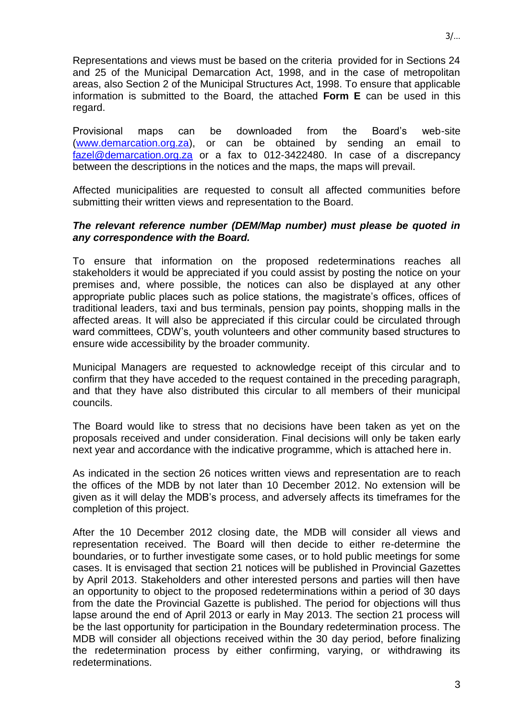Representations and views must be based on the criteria provided for in Sections 24 and 25 of the Municipal Demarcation Act, 1998, and in the case of metropolitan areas, also Section 2 of the Municipal Structures Act, 1998. To ensure that applicable information is submitted to the Board, the attached **Form E** can be used in this regard.

Provisional maps can be downloaded from the Board's web-site [\(www.demarcation.org.za\)](http://www.demarcation.org.za/), or can be obtained by sending an email to [fazel@demarcation.org.za](mailto:fazel@demarcation.org.za) or a fax to 012-3422480. In case of a discrepancy between the descriptions in the notices and the maps, the maps will prevail.

Affected municipalities are requested to consult all affected communities before submitting their written views and representation to the Board.

### *The relevant reference number (DEM/Map number) must please be quoted in any correspondence with the Board.*

To ensure that information on the proposed redeterminations reaches all stakeholders it would be appreciated if you could assist by posting the notice on your premises and, where possible, the notices can also be displayed at any other appropriate public places such as police stations, the magistrate's offices, offices of traditional leaders, taxi and bus terminals, pension pay points, shopping malls in the affected areas. It will also be appreciated if this circular could be circulated through ward committees, CDW's, youth volunteers and other community based structures to ensure wide accessibility by the broader community.

Municipal Managers are requested to acknowledge receipt of this circular and to confirm that they have acceded to the request contained in the preceding paragraph, and that they have also distributed this circular to all members of their municipal councils.

The Board would like to stress that no decisions have been taken as yet on the proposals received and under consideration. Final decisions will only be taken early next year and accordance with the indicative programme, which is attached here in.

As indicated in the section 26 notices written views and representation are to reach the offices of the MDB by not later than 10 December 2012. No extension will be given as it will delay the MDB's process, and adversely affects its timeframes for the completion of this project.

After the 10 December 2012 closing date, the MDB will consider all views and representation received. The Board will then decide to either re-determine the boundaries, or to further investigate some cases, or to hold public meetings for some cases. It is envisaged that section 21 notices will be published in Provincial Gazettes by April 2013. Stakeholders and other interested persons and parties will then have an opportunity to object to the proposed redeterminations within a period of 30 days from the date the Provincial Gazette is published. The period for objections will thus lapse around the end of April 2013 or early in May 2013. The section 21 process will be the last opportunity for participation in the Boundary redetermination process. The MDB will consider all objections received within the 30 day period, before finalizing the redetermination process by either confirming, varying, or withdrawing its redeterminations.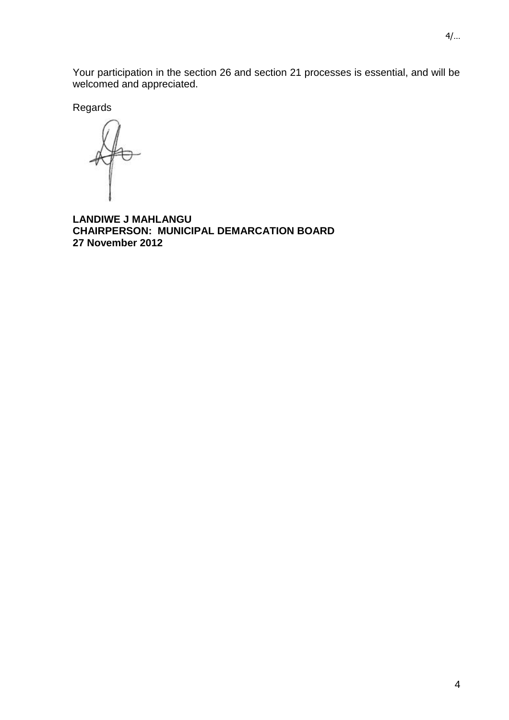4/…

Your participation in the section 26 and section 21 processes is essential, and will be welcomed and appreciated.

Regards

**LANDIWE J MAHLANGU CHAIRPERSON: MUNICIPAL DEMARCATION BOARD 27 November 2012**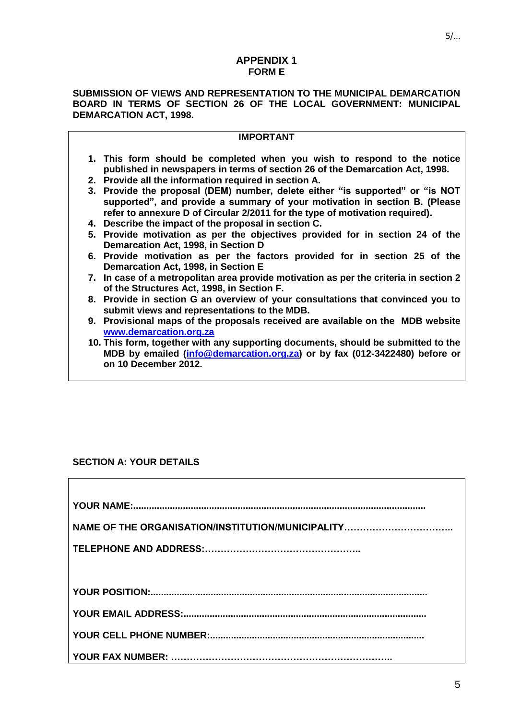#### **APPENDIX 1 FORM E**

#### **SUBMISSION OF VIEWS AND REPRESENTATION TO THE MUNICIPAL DEMARCATION BOARD IN TERMS OF SECTION 26 OF THE LOCAL GOVERNMENT: MUNICIPAL DEMARCATION ACT, 1998.**

| <b>IMPORTANT</b>                                                                                                                                        |
|---------------------------------------------------------------------------------------------------------------------------------------------------------|
| 1. This form should be completed when you wish to respond to the notice<br>published in newspapers in terms of section 26 of the Demarcation Act, 1998. |
| 2. Provide all the information required in section A.                                                                                                   |
| 3. Provide the proposal (DEM) number, delete either "is supported" or "is NOT                                                                           |
| supported", and provide a summary of your motivation in section B. (Please                                                                              |
| refer to annexure D of Circular 2/2011 for the type of motivation required).                                                                            |
| 4. Describe the impact of the proposal in section C.                                                                                                    |
| 5. Provide motivation as per the objectives provided for in section 24 of the                                                                           |
| Demarcation Act, 1998, in Section D                                                                                                                     |
| 6. Provide motivation as per the factors provided for in section 25 of the                                                                              |
| Demarcation Act, 1998, in Section E                                                                                                                     |
| 7. In case of a metropolitan area provide motivation as per the criteria in section 2                                                                   |
| of the Structures Act, 1998, in Section F.                                                                                                              |
| 8. Provide in section G an overview of your consultations that convinced you to                                                                         |

- **8. Provide in section G an overview of your consultations that convinced you to submit views and representations to the MDB.**
- **9. Provisional maps of the proposals received are available on the MDB website [www.demarcation.org.za](http://www.demarcation.org.za/)**
- **10. This form, together with any supporting documents, should be submitted to the MDB by emailed [\(info@demarcation.org.za\)](mailto:info@demarcation.org.za) or by fax (012-3422480) before or on 10 December 2012.**

### **SECTION A: YOUR DETAILS**

 $\Gamma$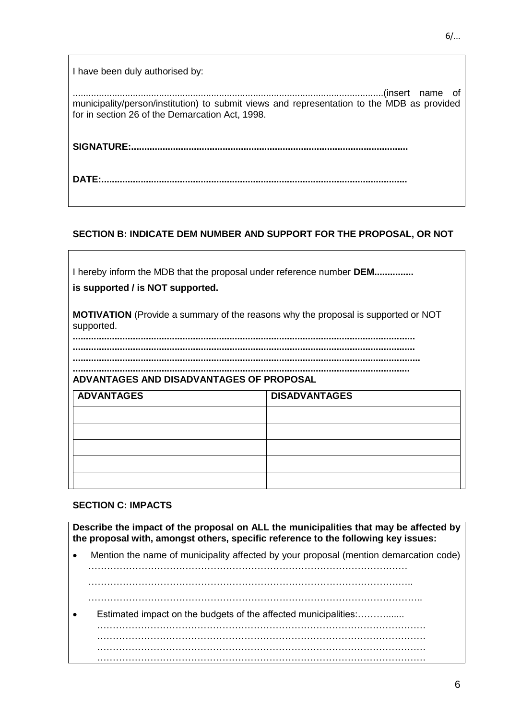| I have been duly authorised by:                                                                                                               |
|-----------------------------------------------------------------------------------------------------------------------------------------------|
| municipality/person/institution) to submit views and representation to the MDB as provided<br>for in section 26 of the Demarcation Act, 1998. |
|                                                                                                                                               |
| DATE:                                                                                                                                         |

### **SECTION B: INDICATE DEM NUMBER AND SUPPORT FOR THE PROPOSAL, OR NOT**

| I hereby inform the MDB that the proposal under reference number <b>DEM</b><br>is supported / is NOT supported. |                      |  |
|-----------------------------------------------------------------------------------------------------------------|----------------------|--|
| <b>MOTIVATION</b> (Provide a summary of the reasons why the proposal is supported or NOT<br>supported.          |                      |  |
| ADVANTAGES AND DISADVANTAGES OF PROPOSAL                                                                        |                      |  |
| <b>ADVANTAGES</b>                                                                                               | <b>DISADVANTAGES</b> |  |
|                                                                                                                 |                      |  |
|                                                                                                                 |                      |  |
|                                                                                                                 |                      |  |
|                                                                                                                 |                      |  |
|                                                                                                                 |                      |  |

#### **SECTION C: IMPACTS**

**Describe the impact of the proposal on ALL the municipalities that may be affected by the proposal with, amongst others, specific reference to the following key issues:**

 Mention the name of municipality affected by your proposal (mention demarcation code) …………………………………………………………………………………………

…………………………………………………………………………………………..

- ……………………………………………………………………………………………..
- Estimated impact on the budgets of the affected municipalities:……….......

…………………………………………………………………………………………… ……………………………………………………………………………………………  $\mathcal{L}^{(n)}$ 

……………………………………………………………………………………………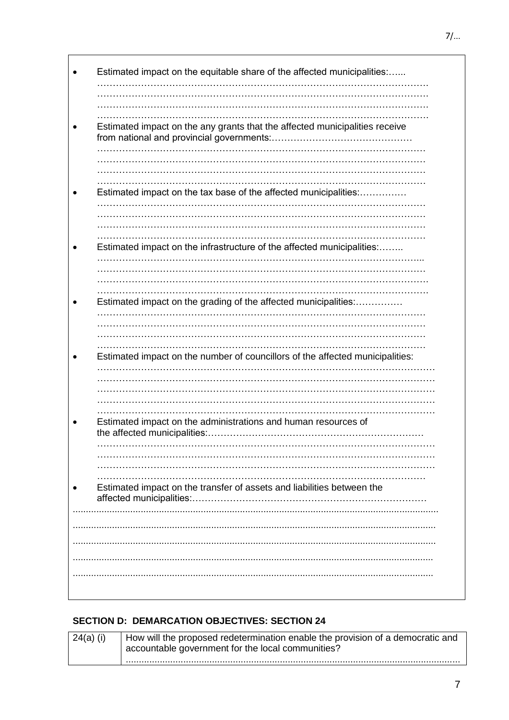| Estimated impact on the any grants that the affected municipalities receive   |
|-------------------------------------------------------------------------------|
|                                                                               |
|                                                                               |
|                                                                               |
|                                                                               |
| Estimated impact on the tax base of the affected municipalities:              |
|                                                                               |
|                                                                               |
|                                                                               |
|                                                                               |
| Estimated impact on the infrastructure of the affected municipalities:        |
|                                                                               |
|                                                                               |
|                                                                               |
| Estimated impact on the grading of the affected municipalities:               |
| .                                                                             |
|                                                                               |
|                                                                               |
|                                                                               |
| Estimated impact on the number of councillors of the affected municipalities: |
|                                                                               |
|                                                                               |
|                                                                               |
|                                                                               |
| Estimated impact on the administrations and human resources of                |
| the affected municipalities:                                                  |
|                                                                               |
|                                                                               |
|                                                                               |
| Estimated impact on the transfer of assets and liabilities between the        |
|                                                                               |
|                                                                               |
|                                                                               |
|                                                                               |
|                                                                               |
|                                                                               |
|                                                                               |

### **SECTION D: DEMARCATION OBJECTIVES: SECTION 24**

| 24(a) (i) | How will the proposed redetermination enable the provision of a democratic and<br>accountable government for the local communities? |
|-----------|-------------------------------------------------------------------------------------------------------------------------------------|
|           |                                                                                                                                     |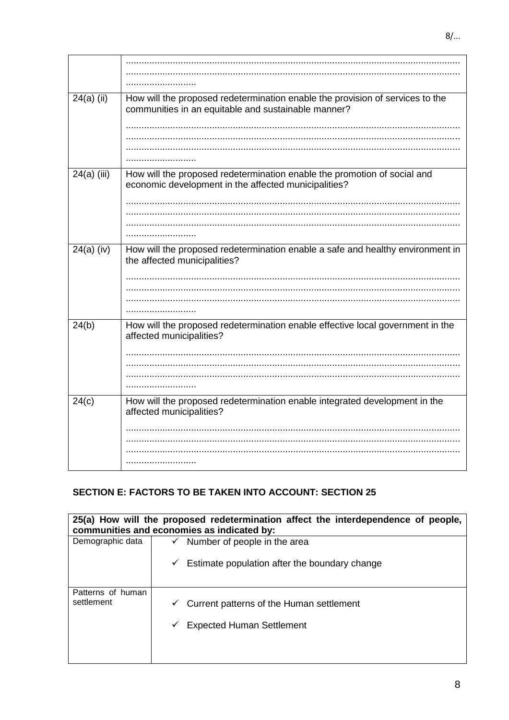| $24(a)$ (ii)  | How will the proposed redetermination enable the provision of services to the<br>communities in an equitable and sustainable manner? |
|---------------|--------------------------------------------------------------------------------------------------------------------------------------|
|               |                                                                                                                                      |
|               |                                                                                                                                      |
| $24(a)$ (iii) | How will the proposed redetermination enable the promotion of social and<br>economic development in the affected municipalities?     |
|               |                                                                                                                                      |
|               |                                                                                                                                      |
| $24(a)$ (iv)  | How will the proposed redetermination enable a safe and healthy environment in<br>the affected municipalities?                       |
|               |                                                                                                                                      |
|               |                                                                                                                                      |
|               | .                                                                                                                                    |
| 24(b)         | How will the proposed redetermination enable effective local government in the<br>affected municipalities?                           |
|               |                                                                                                                                      |
|               |                                                                                                                                      |
|               |                                                                                                                                      |
| 24(c)         | How will the proposed redetermination enable integrated development in the<br>affected municipalities?                               |
|               |                                                                                                                                      |
|               |                                                                                                                                      |
|               |                                                                                                                                      |
|               |                                                                                                                                      |

## **SECTION E: FACTORS TO BE TAKEN INTO ACCOUNT: SECTION 25**

| 25(a) How will the proposed redetermination affect the interdependence of people,<br>communities and economies as indicated by: |                                               |  |
|---------------------------------------------------------------------------------------------------------------------------------|-----------------------------------------------|--|
| Demographic data                                                                                                                | Number of people in the area<br>✓             |  |
|                                                                                                                                 | Estimate population after the boundary change |  |
| Patterns of human<br>settlement                                                                                                 | Current patterns of the Human settlement<br>✓ |  |
|                                                                                                                                 | <b>Expected Human Settlement</b>              |  |
|                                                                                                                                 |                                               |  |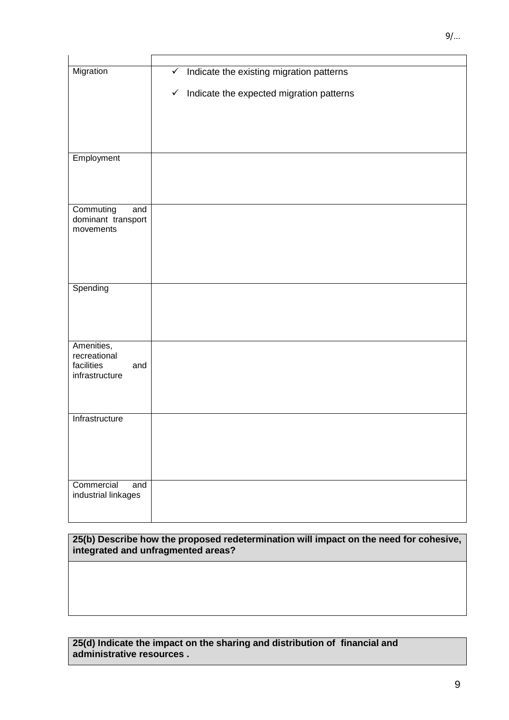| Migration                              | Indicate the existing migration patterns<br>$\checkmark$ |
|----------------------------------------|----------------------------------------------------------|
|                                        | Indicate the expected migration patterns<br>$\checkmark$ |
|                                        |                                                          |
|                                        |                                                          |
|                                        |                                                          |
| Employment                             |                                                          |
|                                        |                                                          |
|                                        |                                                          |
| Commuting<br>and<br>dominant transport |                                                          |
| movements                              |                                                          |
|                                        |                                                          |
|                                        |                                                          |
| Spending                               |                                                          |
|                                        |                                                          |
|                                        |                                                          |
| Amenities,                             |                                                          |
| recreational<br>facilities<br>and      |                                                          |
| infrastructure                         |                                                          |
|                                        |                                                          |
| Infrastructure                         |                                                          |
|                                        |                                                          |
|                                        |                                                          |
|                                        |                                                          |
| Commercial<br>and                      |                                                          |
| industrial linkages                    |                                                          |
|                                        |                                                          |

**25(b) Describe how the proposed redetermination will impact on the need for cohesive, integrated and unfragmented areas?**

#### **25(d) Indicate the impact on the sharing and distribution of financial and administrative resources .**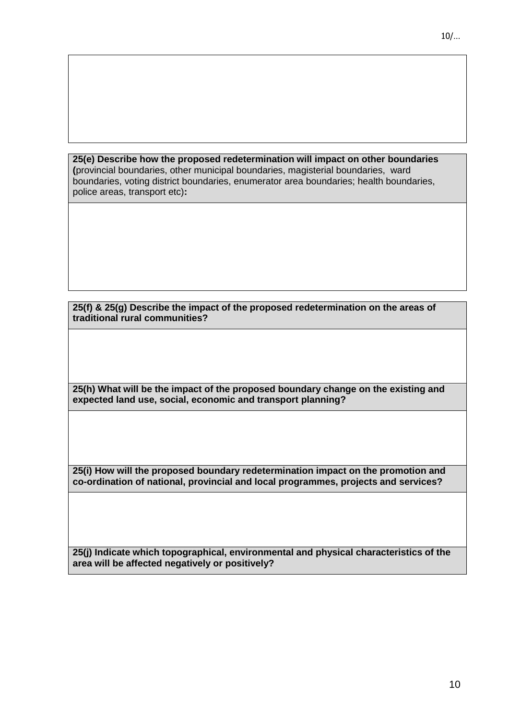**25(e) Describe how the proposed redetermination will impact on other boundaries (**provincial boundaries, other municipal boundaries, magisterial boundaries, ward boundaries, voting district boundaries, enumerator area boundaries; health boundaries, police areas, transport etc)**:**

**25(f) & 25(g) Describe the impact of the proposed redetermination on the areas of traditional rural communities?**

**25(h) What will be the impact of the proposed boundary change on the existing and expected land use, social, economic and transport planning?** 

**25(i) How will the proposed boundary redetermination impact on the promotion and co-ordination of national, provincial and local programmes, projects and services?**

**25(j) Indicate which topographical, environmental and physical characteristics of the area will be affected negatively or positively?**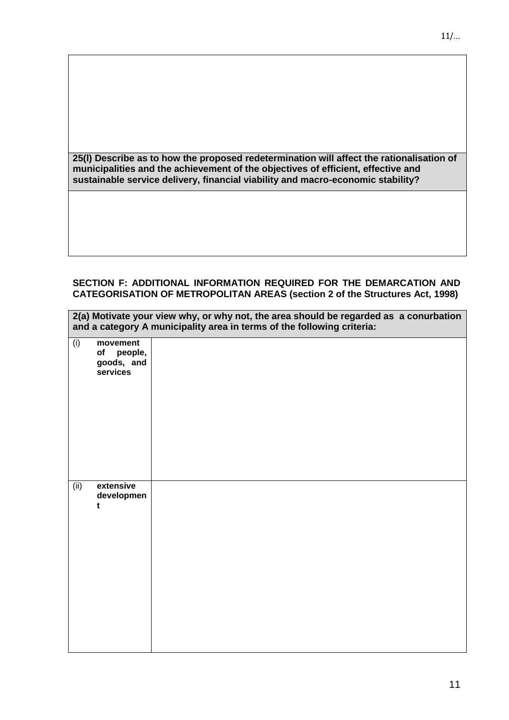**25(l) Describe as to how the proposed redetermination will affect the rationalisation of municipalities and the achievement of the objectives of efficient, effective and sustainable service delivery, financial viability and macro-economic stability?**

#### **SECTION F: ADDITIONAL INFORMATION REQUIRED FOR THE DEMARCATION AND CATEGORISATION OF METROPOLITAN AREAS (section 2 of the Structures Act, 1998)**

**2(a) Motivate your view why, or why not, the area should be regarded as a conurbation** 

| and a category A municipality area in terms of the following criteria: |                                                     |  |
|------------------------------------------------------------------------|-----------------------------------------------------|--|
| (i)                                                                    | movement<br>people,<br>of<br>goods, and<br>services |  |
| (ii)                                                                   | extensive<br>developmen<br>t                        |  |